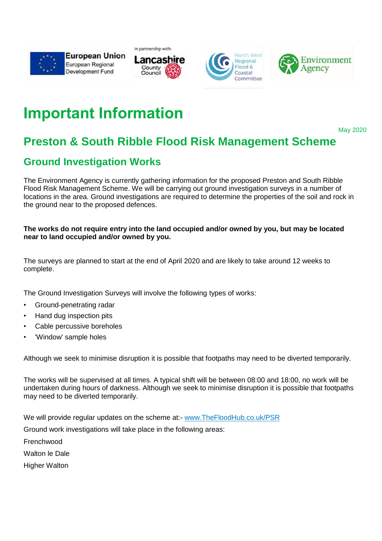









## **Important Information**

May 2020

## **Preston & South Ribble Flood Risk Management Scheme**

## **Ground Investigation Works**

The Environment Agency is currently gathering information for the proposed Preston and South Ribble Flood Risk Management Scheme. We will be carrying out ground investigation surveys in a number of locations in the area. Ground investigations are required to determine the properties of the soil and rock in the ground near to the proposed defences.

## **The works do not require entry into the land occupied and/or owned by you, but may be located near to land occupied and/or owned by you.**

The surveys are planned to start at the end of April 2020 and are likely to take around 12 weeks to complete.

The Ground Investigation Surveys will involve the following types of works:

- Ground-penetrating radar
- Hand dug inspection pits
- Cable percussive boreholes
- 'Window' sample holes

Although we seek to minimise disruption it is possible that footpaths may need to be diverted temporarily.

The works will be supervised at all times. A typical shift will be between 08:00 and 18:00, no work will be undertaken during hours of darkness. Although we seek to minimise disruption it is possible that footpaths may need to be diverted temporarily.

We will provide regular updates on the scheme at:- www.TheFloodHub.co.uk/PSR

Ground work investigations will take place in the following areas:

Frenchwood

Walton le Dale

Higher Walton